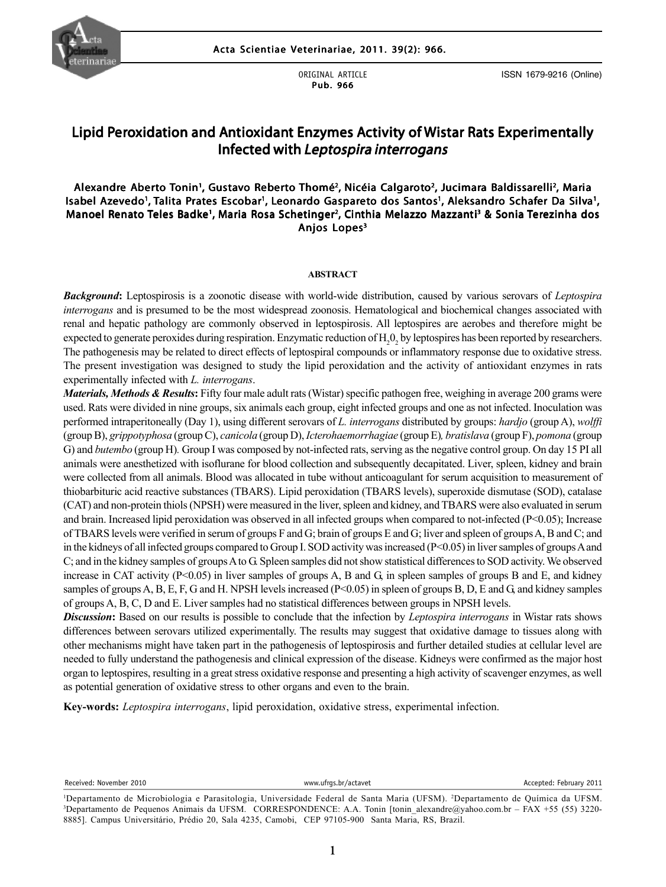

ORIGINAL ARTICLE Pub. 966

ISSN 1679-9216 (Online)

# Lipid Peroxidation and Antioxidant Enzymes Activity of Wistar Rats Experimentally Infected with Leptospira interrogans

### Alexandre Aberto Tonin', Gustavo Reberto Thomé<sup>2</sup>, Nicéia Calgaroto<sup>2</sup>, Jucimara Baldissarelli<sup>2</sup>, Maria Isabel Azevedo', Talita Prates Escobar', Leonardo Gaspareto dos Santos', Aleksandro Schafer Da Silva', Manoel Renato Teles Badke', Maria Rosa Schetinger<sup>2</sup>, Cinthia Melazzo Mazzanti<sup>3</sup> & Sonia Terezinha dos Anjos Lopes<sup>3</sup>

#### **ABSTRACT**

*Background***:** Leptospirosis is a zoonotic disease with world-wide distribution, caused by various serovars of *Leptospira interrogans* and is presumed to be the most widespread zoonosis. Hematological and biochemical changes associated with renal and hepatic pathology are commonly observed in leptospirosis. All leptospires are aerobes and therefore might be expected to generate peroxides during respiration. Enzymatic reduction of  $H_2O_2$  by leptospires has been reported by researchers. The pathogenesis may be related to direct effects of leptospiral compounds or inflammatory response due to oxidative stress. The present investigation was designed to study the lipid peroxidation and the activity of antioxidant enzymes in rats experimentally infected with *L. interrogans*.

O) and *butembo* (group H). Group I was composed by not-infected rats, set ving as the negative control group. On day 15 F1 and animals were anesthetized with isoflurane for blood collection and subsequently decapitated. L *Materials, Methods & Results***:** Fifty four male adult rats (Wistar) specific pathogen free, weighing in average 200 grams were used. Rats were divided in nine groups, six animals each group, eight infected groups and one as not infected. Inoculation was performed intraperitoneally (Day 1), using different serovars of *L. interrogans* distributed by groups: *hardjo* (group A), *wolffi* (group B), *grippotyphosa* (group C), *canicola* (group D), *Icterohaemorrhagiae* (group E)*, bratislava* (group F), *pomona* (group G) and *butembo* (group H)*.* Group I was composed by not-infected rats, serving as the negative control group. On day 15 PI all were collected from all animals. Blood was allocated in tube without anticoagulant for serum acquisition to measurement of thiobarbituric acid reactive substances (TBARS). Lipid peroxidation (TBARS levels), superoxide dismutase (SOD), catalase (CAT) and non-protein thiols (NPSH) were measured in the liver, spleen and kidney, and TBARS were also evaluated in serum and brain. Increased lipid peroxidation was observed in all infected groups when compared to not-infected (P<0.05); Increase of TBARS levels were verified in serum of groups F and G; brain of groups E and G; liver and spleen of groups A, B and C; and in the kidneys of all infected groups compared to Group I. SOD activity was increased (P<0.05) in liver samples of groups A and C; and in the kidney samples of groups A to G. Spleen samples did not show statistical differences to SOD activity. We observed increase in CAT activity  $(P<0.05)$  in liver samples of groups A, B and G, in spleen samples of groups B and E, and kidney samples of groups A, B, E, F, G and H. NPSH levels increased (P<0.05) in spleen of groups B, D, E and G, and kidney samples of groups A, B, C, D and E. Liver samples had no statistical differences between groups in NPSH levels.

*Discussion*: Based on our results is possible to conclude that the infection by *Leptospira interrogans* in Wistar rats shows differences between serovars utilized experimentally. The results may suggest that oxidative damage to tissues along with other mechanisms might have taken part in the pathogenesis of leptospirosis and further detailed studies at cellular level are needed to fully understand the pathogenesis and clinical expression of the disease. Kidneys were confirmed as the major host organ to leptospires, resulting in a great stress oxidative response and presenting a high activity of scavenger enzymes, as well as potential generation of oxidative stress to other organs and even to the brain.

**Key-words:** *Leptospira interrogans*, lipid peroxidation, oxidative stress, experimental infection.

Received: November 2010 **WEITHEREN WEITHEREN** www.ufrgs.br/actavet **Accepted: February 2011** 

<sup>1</sup> Departamento de Microbiologia e Parasitologia, Universidade Federal de Santa Maria (UFSM). 2 Departamento de Química da UFSM. 3 Departamento de Pequenos Animais da UFSM. CORRESPONDENCE: A.A. Tonin [tonin\_alexandre@yahoo.com.br – FAX +55 (55) 3220- 8885]. Campus Universitário, Prédio 20, Sala 4235, Camobi, CEP 97105-900 Santa Maria, RS, Brazil.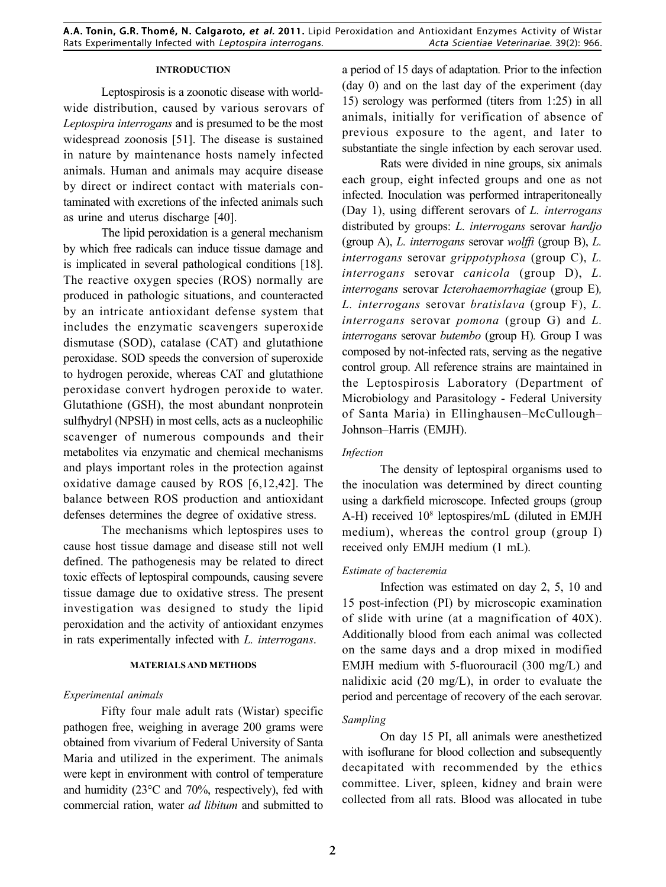### **INTRODUCTION**

Leptospirosis is a zoonotic disease with worldwide distribution, caused by various serovars of *Leptospira interrogans* and is presumed to be the most widespread zoonosis [51]. The disease is sustained in nature by maintenance hosts namely infected animals. Human and animals may acquire disease by direct or indirect contact with materials contaminated with excretions of the infected animals such as urine and uterus discharge [40].

The lipid peroxidation is a general mechanism by which free radicals can induce tissue damage and is implicated in several pathological conditions [18]. The reactive oxygen species (ROS) normally are produced in pathologic situations, and counteracted by an intricate antioxidant defense system that includes the enzymatic scavengers superoxide dismutase (SOD), catalase (CAT) and glutathione peroxidase. SOD speeds the conversion of superoxide to hydrogen peroxide, whereas CAT and glutathione peroxidase convert hydrogen peroxide to water. Glutathione (GSH), the most abundant nonprotein sulfhydryl (NPSH) in most cells, acts as a nucleophilic scavenger of numerous compounds and their metabolites via enzymatic and chemical mechanisms and plays important roles in the protection against oxidative damage caused by ROS [6,12,42]. The balance between ROS production and antioxidant defenses determines the degree of oxidative stress.

The mechanisms which leptospires uses to cause host tissue damage and disease still not well defined. The pathogenesis may be related to direct toxic effects of leptospiral compounds, causing severe tissue damage due to oxidative stress. The present investigation was designed to study the lipid peroxidation and the activity of antioxidant enzymes in rats experimentally infected with *L. interrogans*.

### **MATERIALS AND METHODS**

#### *Experimental animals*

Fifty four male adult rats (Wistar) specific pathogen free, weighing in average 200 grams were obtained from vivarium of Federal University of Santa Maria and utilized in the experiment. The animals were kept in environment with control of temperature and humidity (23°C and 70%, respectively), fed with commercial ration, water *ad libitum* and submitted to a period of 15 days of adaptation*.* Prior to the infection (day 0) and on the last day of the experiment (day 15) serology was performed (titers from 1:25) in all animals, initially for verification of absence of previous exposure to the agent, and later to substantiate the single infection by each serovar used.

Rats were divided in nine groups, six animals each group, eight infected groups and one as not infected. Inoculation was performed intraperitoneally (Day 1), using different serovars of *L. interrogans* distributed by groups: *L. interrogans* serovar *hardjo* (group A), *L. interrogans* serovar *wolffi* (group B), *L. interrogans* serovar *grippotyphosa* (group C), *L. interrogans* serovar *canicola* (group D), *L. interrogans* serovar *Icterohaemorrhagiae* (group E)*, L. interrogans* serovar *bratislava* (group F), *L. interrogans* serovar *pomona* (group G) and *L. interrogans* serovar *butembo* (group H)*.* Group I was composed by not-infected rats, serving as the negative control group. All reference strains are maintained in the Leptospirosis Laboratory (Department of Microbiology and Parasitology - Federal University of Santa Maria) in Ellinghausen–McCullough– Johnson–Harris (EMJH).

#### *Infection*

The density of leptospiral organisms used to the inoculation was determined by direct counting using a darkfield microscope. Infected groups (group A-H) received  $10^8$  leptospires/mL (diluted in EMJH medium), whereas the control group (group I) received only EMJH medium (1 mL).

### *Estimate of bacteremia*

Infection was estimated on day 2, 5, 10 and 15 post-infection (PI) by microscopic examination of slide with urine (at a magnification of 40X). Additionally blood from each animal was collected on the same days and a drop mixed in modified EMJH medium with 5-fluorouracil (300 mg/L) and nalidixic acid (20 mg/L), in order to evaluate the period and percentage of recovery of the each serovar.

### *Sampling*

On day 15 PI, all animals were anesthetized with isoflurane for blood collection and subsequently decapitated with recommended by the ethics committee. Liver, spleen, kidney and brain were collected from all rats. Blood was allocated in tube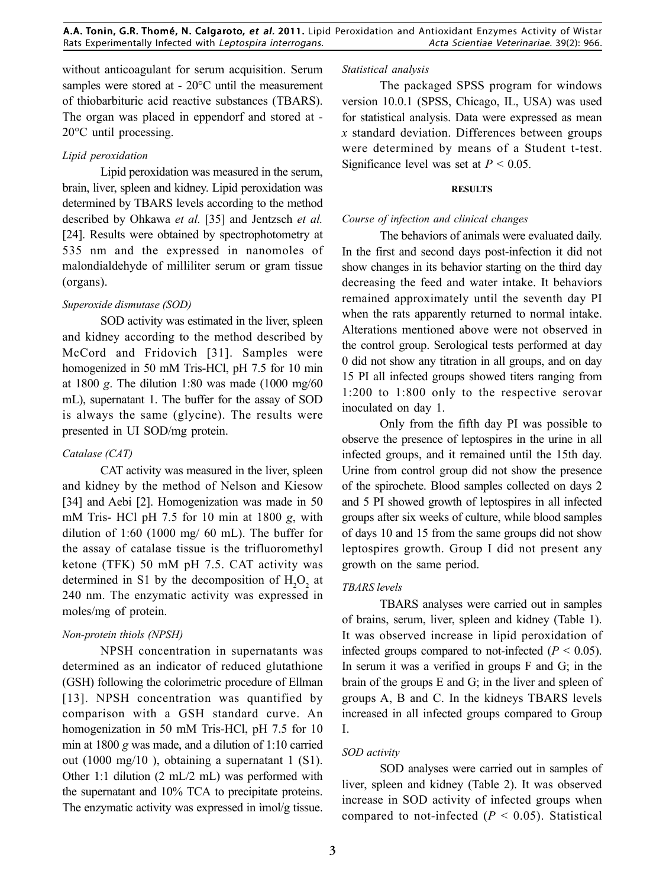without anticoagulant for serum acquisition. Serum samples were stored at - 20°C until the measurement of thiobarbituric acid reactive substances (TBARS). The organ was placed in eppendorf and stored at - 20°C until processing.

### *Lipid peroxidation*

Lipid peroxidation was measured in the serum, brain, liver, spleen and kidney. Lipid peroxidation was determined by TBARS levels according to the method described by Ohkawa *et al.* [35] and Jentzsch *et al.* [24]. Results were obtained by spectrophotometry at 535 nm and the expressed in nanomoles of malondialdehyde of milliliter serum or gram tissue (organs).

### *Superoxide dismutase (SOD)*

SOD activity was estimated in the liver, spleen and kidney according to the method described by McCord and Fridovich [31]. Samples were homogenized in 50 mM Tris-HCl, pH 7.5 for 10 min at 1800 *g*. The dilution 1:80 was made (1000 mg/60 mL), supernatant 1. The buffer for the assay of SOD is always the same (glycine). The results were presented in UI SOD/mg protein.

# *Catalase (CAT)*

CAT activity was measured in the liver, spleen and kidney by the method of Nelson and Kiesow [34] and Aebi [2]. Homogenization was made in 50 mM Tris- HCl pH 7.5 for 10 min at 1800 *g*, with dilution of 1:60 (1000 mg/ 60 mL). The buffer for the assay of catalase tissue is the trifluoromethyl ketone (TFK) 50 mM pH 7.5. CAT activity was determined in S1 by the decomposition of  $H_2O_2$  at 240 nm. The enzymatic activity was expressed in moles/mg of protein.

# *Non-protein thiols (NPSH)*

NPSH concentration in supernatants was determined as an indicator of reduced glutathione (GSH) following the colorimetric procedure of Ellman [13]. NPSH concentration was quantified by comparison with a GSH standard curve. An homogenization in 50 mM Tris-HCl, pH 7.5 for 10 min at 1800 *g* was made, and a dilution of 1:10 carried out (1000 mg/10 ), obtaining a supernatant 1 (S1). Other 1:1 dilution (2 mL/2 mL) was performed with the supernatant and 10% TCA to precipitate proteins. The enzymatic activity was expressed in ìmol/g tissue.

#### *Statistical analysis*

The packaged SPSS program for windows version 10.0.1 (SPSS, Chicago, IL, USA) was used for statistical analysis. Data were expressed as mean *x* standard deviation. Differences between groups were determined by means of a Student t-test. Significance level was set at *P* < 0.05.

#### **RESULTS**

# *Course of infection and clinical changes*

The behaviors of animals were evaluated daily. In the first and second days post-infection it did not show changes in its behavior starting on the third day decreasing the feed and water intake. It behaviors remained approximately until the seventh day PI when the rats apparently returned to normal intake. Alterations mentioned above were not observed in the control group. Serological tests performed at day 0 did not show any titration in all groups, and on day 15 PI all infected groups showed titers ranging from 1:200 to 1:800 only to the respective serovar inoculated on day 1.

infected groups, and it remained until the 15th day. Only from the fifth day PI was possible to observe the presence of leptospires in the urine in all Urine from control group did not show the presence of the spirochete. Blood samples collected on days 2 and 5 PI showed growth of leptospires in all infected groups after six weeks of culture, while blood samples of days 10 and 15 from the same groups did not show leptospires growth. Group I did not present any growth on the same period.

# *TBARS levels*

TBARS analyses were carried out in samples of brains, serum, liver, spleen and kidney (Table 1). It was observed increase in lipid peroxidation of infected groups compared to not-infected  $(P < 0.05)$ . In serum it was a verified in groups F and G; in the brain of the groups E and G; in the liver and spleen of groups A, B and C. In the kidneys TBARS levels increased in all infected groups compared to Group I.

# *SOD activity*

SOD analyses were carried out in samples of liver, spleen and kidney (Table 2). It was observed increase in SOD activity of infected groups when compared to not-infected  $(P < 0.05)$ . Statistical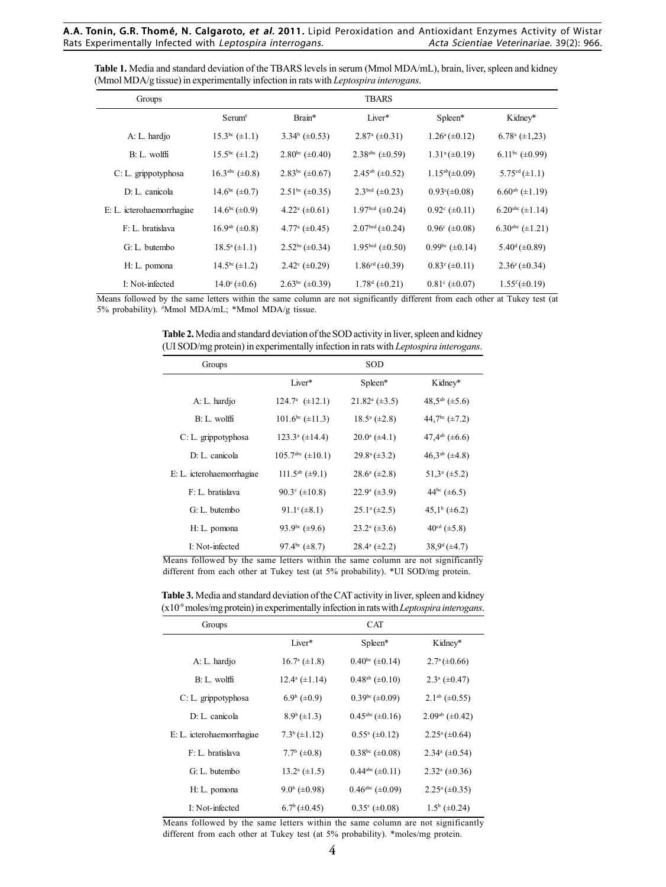| Table 1. Media and standard deviation of the TBARS levels in serum (Mmol MDA/mL), brain, liver, spleen and kidney |
|-------------------------------------------------------------------------------------------------------------------|
| (Mmol MDA/g tissue) in experimentally infection in rats with <i>Leptospira interogans</i> .                       |

| Groups                    |                          |                                | <b>TBARS</b>                   |                           |                                |
|---------------------------|--------------------------|--------------------------------|--------------------------------|---------------------------|--------------------------------|
|                           | $Serum^*$                | Brain*                         | Liver*                         | Spleen*                   | Kidney*                        |
| A: L. hardjo              | $15.3^{bc} (\pm 1.1)$    | $3.34^b$ (±0.53)               | $2.87^{\mathrm{a}} (\pm 0.31)$ | $1.26^a (\pm 0.12)$       | $6.78^{\rm a}$ (±1,23)         |
| $B: L.$ wolffi            | $15.5^{bc} (\pm 1.2)$    | $2.80bc (\pm 0.40)$            | 2.38 <sup>abc</sup> (±0.59)    | $1.31^a (\pm 0.19)$       | $6.11^{bc} (\pm 0.99)$         |
| C: L. grippotyphosa       | $16.3abc (\pm 0.8)$      | $2.83^{bc} (\pm 0.67)$         | $2.45^{ab}$ (±0.52)            | $1.15^{ab}(\pm 0.09)$     | $5.75^{\text{cd}} (\pm 1.1)$   |
| D: L. canicola            | $14.6^{bc} (\pm 0.7)$    | $2.51^{bc} (\pm 0.35)$         | $2.3bcd$ (±0.23)               | $0.93^{\circ}(\pm 0.08)$  | $6.60^{ab}$ (±1.19)            |
| E: L. icterohaemorrhagiae | $14.6^{\rm bc}(\pm 0.9)$ | $4.22^{\mathrm{a}} (\pm 0.61)$ | 1.97bcd $(\pm 0.24)$           | $0.92^{\circ} (\pm 0.11)$ | $6.20abc (\pm 1.14)$           |
| F: L. bratislava          | $16.9^{ab} (\pm 0.8)$    | $4.77^{\mathrm{a}} (\pm 0.45)$ | $2.07bcd (\pm 0.24)$           | $0.96^{\circ}$ (±0.08)    | 6.30 <sup>abc</sup> (±1.21)    |
| G: L. butembo             | $18.5^{\circ}(\pm 1.1)$  | $2.52bc (\pm 0.34)$            | 1.95bcd $(\pm 0.50)$           | $0.99bc (\pm 0.14)$       | $5.40^{\mathrm{d}} (\pm 0.89)$ |
| H: L. pomona              | $14.5^{bc} (\pm 1.2)$    | $2.42^{\circ} (\pm 0.29)$      | $1.86cd(\pm 0.39)$             | $0.83^{\circ}(\pm 0.11)$  | $2.36^{\circ} (\pm 0.34)$      |
| I: Not-infected           | $14.0^{\circ} (\pm 0.6)$ | $2.63^{bc} (\pm 0.39)$         | $1.78^d (\pm 0.21)$            | $0.81^{\circ}$ (±0.07)    | $1.55^{\rm f}(\pm 0.19)$       |

Means followed by the same letters within the same column are not significantly different from each other at Tukey test (at 5% probability). # Mmol MDA/mL; \*Mmol MDA/g tissue.

**Table 2.** Media and standard deviation of the SOD activity in liver, spleen and kidney (UI SOD/mg protein) in experimentally infection in rats with *Leptospira interogans*.

| Groups                    |                                   | SOD                            |                                 |
|---------------------------|-----------------------------------|--------------------------------|---------------------------------|
|                           | Liver*                            | Spleen*                        | Kidney*                         |
| A: L. hardjo              | $124.7^a$ (±12.1)                 | $21.82^{\mathrm{a}} (\pm 3.5)$ | 48.5 <sup>ab</sup> ( $\pm$ 5.6) |
| $B: L$ wolffi             | $101.6^{bc} (\pm 11.3)$           | $18.5^{\circ}$ (±2.8)          | 44,7 <sup>bc</sup> (±7.2)       |
| C: L. grippotyphosa       | $123.3^{\circ}$ (±14.4)           | $20.0^{\circ}$ (±4.1)          | 47,4 <sup>ab</sup> ( $\pm$ 6.6) |
| $D: Ia$ canicola          | $105.7abc (\pm 10.1)$             | $29.8^{\circ}(\pm 3.2)$        | $46.3^{ab}$ (±4.8)              |
| E: L. icterohaemorrhagiae | $111.5^{ab}$ (±9.1)               | $28.6^{\circ}$ (±2.8)          | $51.3^a (\pm 5.2)$              |
| F: L. bratislava          | 90.3 $\textdegree$ ( $\pm 10.8$ ) | $22.9^{\circ}$ (±3.9)          | $44^{\rm bc}$ (±6.5)            |
| G: L. butembo             | 91.1 $\epsilon$ (±8.1)            | $25.1^a (\pm 2.5)$             | $45.1^b (\pm 6.2)$              |
| H: L. pomona              | 93.9 <sup>bc</sup> (±9.6)         | $23.2^{\circ}$ (±3.6)          | $40^{\text{cd}} (\pm 5.8)$      |
| I: Not-infected           | 97.4 <sup>bc</sup> ( $\pm$ 8.7)   | $28.4^{\circ}$ (±2.2)          | $38.9^{\mathrm{d}} (\pm 4.7)$   |

Means followed by the same letters within the same column are not significantly different from each other at Tukey test (at 5% probability). \*UI SOD/mg protein.

**Table 3.** Media and standard deviation of the CAT activity in liver, spleen and kidney (x10-9 moles/mg protein) in experimentally infection in rats with *Leptospira interogans*.

| Groups                    |                        | <b>CAT</b>                       |                                |
|---------------------------|------------------------|----------------------------------|--------------------------------|
|                           | Liver*                 | Spleen*                          | Kidney*                        |
| A: L. hardjo              | $16.7^{\circ}$ (±1.8)  | $0.40bc (\pm 0.14)$              | $2.7^{\mathrm{a}} (\pm 0.66)$  |
| $B: L.$ wolffi            | $12.4^{\circ}$ (±1.14) | $0.48^{ab} (\pm 0.10)$           | $2.3^a (\pm 0.47)$             |
| C: L. grippotyphosa       | $6.9^{\rm b}$ (±0.9)   | $0.39bc(\pm 0.09)$               | $2.1ab$ (±0.55)                |
| D: L. canicola            | $8.9^b (\pm 1.3)$      | $0.45^{\text{abc}} (\pm 0.16)$   | $2.09ab (\pm 0.42)$            |
| E: L. icterohaemorrhagiae | $7.3^b (\pm 1.12)$     | $0.55^{\mathrm{a}} \,(\pm 0.12)$ | $2.25^{\circ}(\pm 0.64)$       |
| F: L. bratislava          | $7.7^{\rm b}$ (±0.8)   | $0.38bc (\pm 0.08)$              | $2.34^{\circ}$ (±0.54)         |
| G: L. butembo             | $13.2^{\circ}$ (±1.5)  | $0.44^{\text{abc}} (\pm 0.11)$   | $2.32^{\mathrm{a}} (\pm 0.36)$ |
| H: L. pomona              | $9.0^{\rm b}$ (±0.98)  | $0.46^{\text{abc}} (\pm 0.09)$   | $2.25^{\mathrm{a}} (\pm 0.35)$ |
| I: Not-infected           | $6.7^b (\pm 0.45)$     | $0.35^{\circ}$ (±0.08)           | $1.5^{\rm b}$ (±0.24)          |

Means followed by the same letters within the same column are not significantly different from each other at Tukey test (at 5% probability). \*moles/mg protein.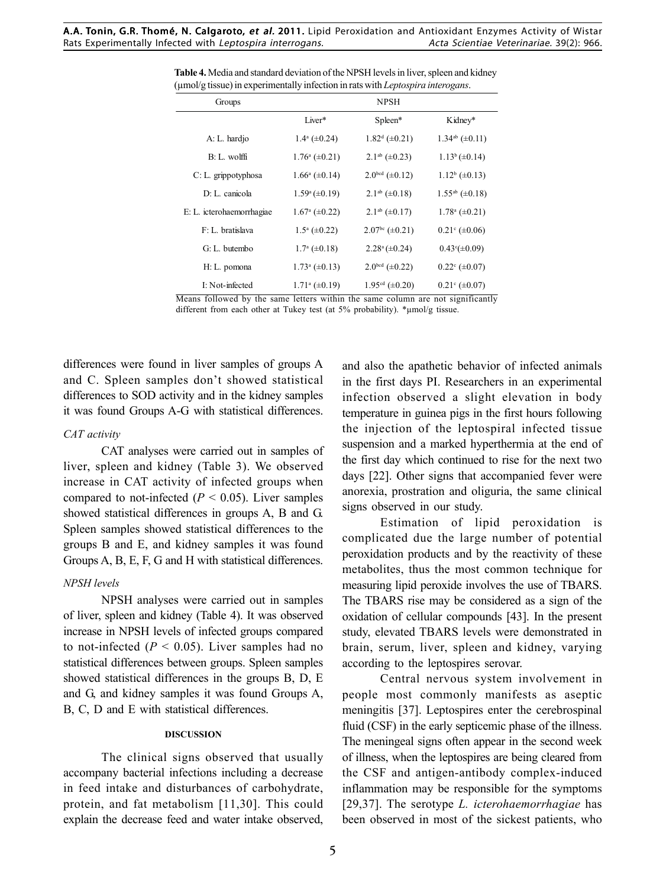|                                | <b>NPSH</b>               |                           |
|--------------------------------|---------------------------|---------------------------|
| Liver*                         | Spleen*                   | Kidney*                   |
| $1.4^a (\pm 0.24)$             | $1.82^d (\pm 0.21)$       | $1.34ab (\pm 0.11)$       |
| $1.76^{\circ} (\pm 0.21)$      | $2.1ab$ (±0.23)           | $1.13^b (\pm 0.14)$       |
| $1.66^{\mathrm{a}} (\pm 0.14)$ | $2.0^{bcd} (\pm 0.12)$    | $1.12^b \ (\pm 0.13)$     |
| $1.59^{\circ} (\pm 0.19)$      | $2.1^{ab} (\pm 0.18)$     | $1.55^{ab}$ (±0.18)       |
| $1.67^{\mathrm{a}} (\pm 0.22)$ | $2.1^{ab} (\pm 0.17)$     | $1.78^{\circ}$ (±0.21)    |
| $1.5^a (\pm 0.22)$             | $2.07bc (\pm 0.21)$       | $0.21^{\circ} (\pm 0.06)$ |
| $1.7^{\mathrm{a}} (\pm 0.18)$  | $2.28^{\circ} (\pm 0.24)$ | $0.43^{\circ}(\pm 0.09)$  |
| $1.73^{\circ}$ (±0.13)         | $2.0^{bcd} (\pm 0.22)$    | $0.22^{\circ}$ (±0.07)    |
| $1.71^a (\pm 0.19)$            | $1.95cd$ (±0.20)          | $0.21^{\circ}$ (±0.07)    |
|                                |                           |                           |

**Table 4.** Media and standard deviation of the NPSH levels in liver, spleen and kidney (µmol/g tissue) in experimentally infection in rats with *Leptospira interogans*.

Means followed by the same letters within the same column are not significantly different from each other at Tukey test (at 5% probability). \*µmol/g tissue.

differences were found in liver samples of groups A and C. Spleen samples don't showed statistical differences to SOD activity and in the kidney samples it was found Groups A-G with statistical differences.

### *CAT activity*

CAT analyses were carried out in samples of liver, spleen and kidney (Table 3). We observed increase in CAT activity of infected groups when compared to not-infected  $(P < 0.05)$ . Liver samples showed statistical differences in groups A, B and G. Spleen samples showed statistical differences to the groups B and E, and kidney samples it was found Groups A, B, E, F, G and H with statistical differences.

### *NPSH levels*

NPSH analyses were carried out in samples of liver, spleen and kidney (Table 4). It was observed increase in NPSH levels of infected groups compared to not-infected  $(P < 0.05)$ . Liver samples had no statistical differences between groups. Spleen samples showed statistical differences in the groups B, D, E and G, and kidney samples it was found Groups A, B, C, D and E with statistical differences.

#### **DISCUSSION**

The clinical signs observed that usually accompany bacterial infections including a decrease in feed intake and disturbances of carbohydrate, protein, and fat metabolism [11,30]. This could explain the decrease feed and water intake observed,

the first day which continued to rise for the next two and also the apathetic behavior of infected animals in the first days PI. Researchers in an experimental infection observed a slight elevation in body temperature in guinea pigs in the first hours following the injection of the leptospiral infected tissue suspension and a marked hyperthermia at the end of days [22]. Other signs that accompanied fever were anorexia, prostration and oliguria, the same clinical signs observed in our study.

Estimation of lipid peroxidation is complicated due the large number of potential peroxidation products and by the reactivity of these metabolites, thus the most common technique for measuring lipid peroxide involves the use of TBARS. The TBARS rise may be considered as a sign of the oxidation of cellular compounds [43]. In the present study, elevated TBARS levels were demonstrated in brain, serum, liver, spleen and kidney, varying according to the leptospires serovar.

Central nervous system involvement in people most commonly manifests as aseptic meningitis [37]. Leptospires enter the cerebrospinal fluid (CSF) in the early septicemic phase of the illness. The meningeal signs often appear in the second week of illness, when the leptospires are being cleared from the CSF and antigen-antibody complex-induced inflammation may be responsible for the symptoms [29,37]. The serotype *L. icterohaemorrhagiae* has been observed in most of the sickest patients, who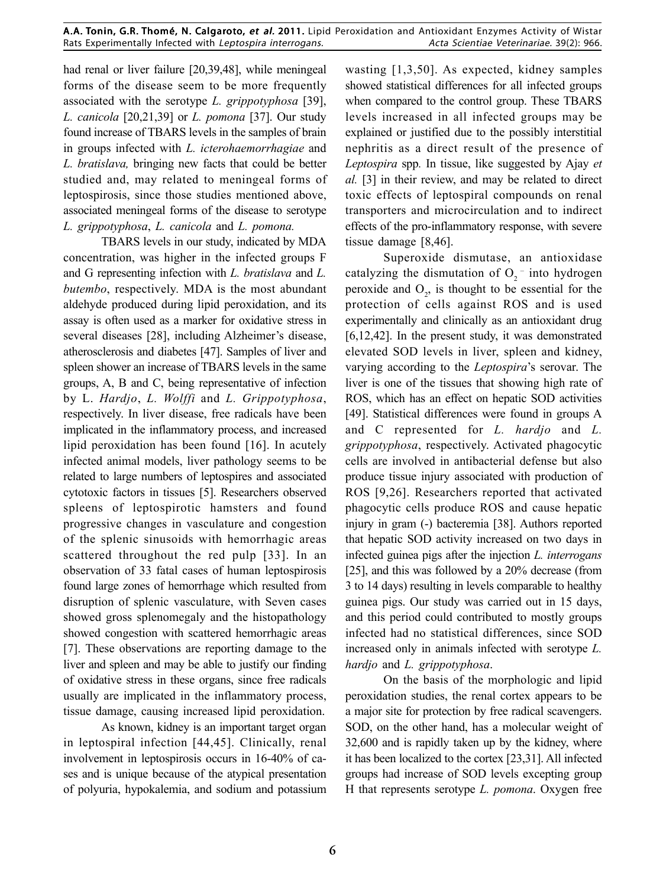had renal or liver failure [20,39,48], while meningeal forms of the disease seem to be more frequently associated with the serotype *L. grippotyphosa* [39], *L. canicola* [20,21,39] or *L. pomona* [37]. Our study found increase of TBARS levels in the samples of brain in groups infected with *L. icterohaemorrhagiae* and *L. bratislava,* bringing new facts that could be better studied and, may related to meningeal forms of leptospirosis, since those studies mentioned above, associated meningeal forms of the disease to serotype *L. grippotyphosa*, *L. canicola* and *L. pomona.*

TBARS levels in our study, indicated by MDA concentration, was higher in the infected groups F and G representing infection with *L. bratislava* and *L. butembo*, respectively. MDA is the most abundant aldehyde produced during lipid peroxidation, and its assay is often used as a marker for oxidative stress in several diseases [28], including Alzheimer's disease, atherosclerosis and diabetes [47]. Samples of liver and spleen shower an increase of TBARS levels in the same groups, A, B and C, being representative of infection by L. *Hardjo*, *L. Wolffi* and *L. Grippotyphosa*, respectively. In liver disease, free radicals have been implicated in the inflammatory process, and increased lipid peroxidation has been found [16]. In acutely infected animal models, liver pathology seems to be related to large numbers of leptospires and associated cytotoxic factors in tissues [5]. Researchers observed spleens of leptospirotic hamsters and found progressive changes in vasculature and congestion of the splenic sinusoids with hemorrhagic areas scattered throughout the red pulp [33]. In an observation of 33 fatal cases of human leptospirosis found large zones of hemorrhage which resulted from disruption of splenic vasculature, with Seven cases showed gross splenomegaly and the histopathology showed congestion with scattered hemorrhagic areas [7]. These observations are reporting damage to the liver and spleen and may be able to justify our finding of oxidative stress in these organs, since free radicals usually are implicated in the inflammatory process, tissue damage, causing increased lipid peroxidation.

As known, kidney is an important target organ in leptospiral infection [44,45]. Clinically, renal involvement in leptospirosis occurs in 16-40% of cases and is unique because of the atypical presentation of polyuria, hypokalemia, and sodium and potassium

wasting [1,3,50]. As expected, kidney samples showed statistical differences for all infected groups when compared to the control group. These TBARS levels increased in all infected groups may be explained or justified due to the possibly interstitial nephritis as a direct result of the presence of *Leptospira* spp*.* In tissue, like suggested by Ajay *et al.* [3] in their review, and may be related to direct toxic effects of leptospiral compounds on renal transporters and microcirculation and to indirect effects of the pro-inflammatory response, with severe tissue damage [8,46].

Superoxide dismutase, an antioxidase catalyzing the dismutation of  $O_2$ <sup>-</sup> into hydrogen peroxide and  $O_2$ , is thought to be essential for the protection of cells against ROS and is used experimentally and clinically as an antioxidant drug [6,12,42]. In the present study, it was demonstrated elevated SOD levels in liver, spleen and kidney, varying according to the *Leptospira*'s serovar. The liver is one of the tissues that showing high rate of ROS, which has an effect on hepatic SOD activities [49]. Statistical differences were found in groups A and C represented for *L. hardjo* and *L. grippotyphosa*, respectively. Activated phagocytic cells are involved in antibacterial defense but also produce tissue injury associated with production of ROS [9,26]. Researchers reported that activated phagocytic cells produce ROS and cause hepatic injury in gram (-) bacteremia [38]. Authors reported that hepatic SOD activity increased on two days in infected guinea pigs after the injection *L. interrogans* [25], and this was followed by a 20% decrease (from 3 to 14 days) resulting in levels comparable to healthy guinea pigs. Our study was carried out in 15 days, and this period could contributed to mostly groups infected had no statistical differences, since SOD increased only in animals infected with serotype *L. hardjo* and *L. grippotyphosa*.

On the basis of the morphologic and lipid peroxidation studies, the renal cortex appears to be a major site for protection by free radical scavengers. SOD, on the other hand, has a molecular weight of 32,600 and is rapidly taken up by the kidney, where it has been localized to the cortex [23,31]. All infected groups had increase of SOD levels excepting group H that represents serotype *L. pomona*. Oxygen free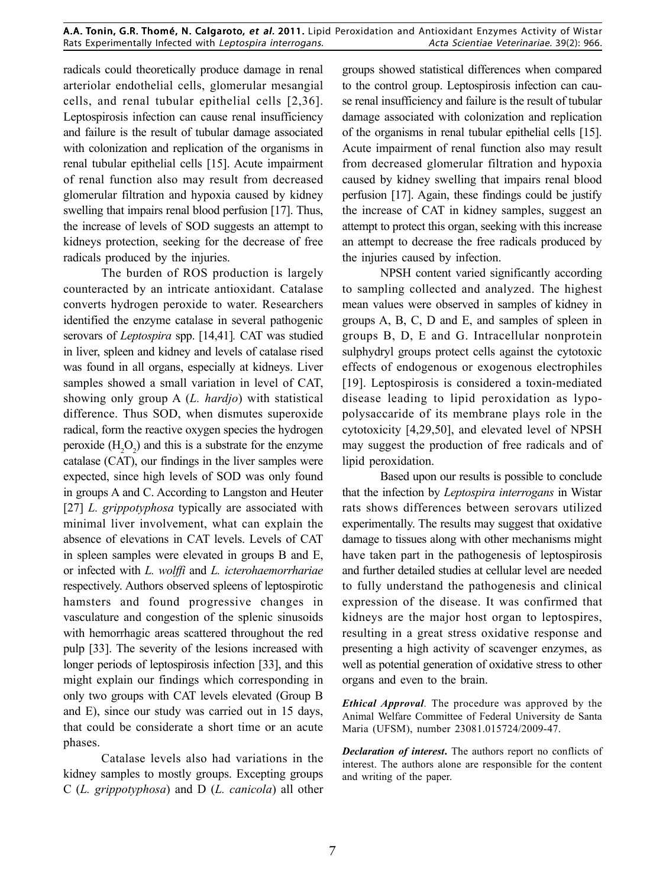radicals could theoretically produce damage in renal arteriolar endothelial cells, glomerular mesangial cells, and renal tubular epithelial cells [2,36]. Leptospirosis infection can cause renal insufficiency and failure is the result of tubular damage associated with colonization and replication of the organisms in renal tubular epithelial cells [15]. Acute impairment of renal function also may result from decreased glomerular filtration and hypoxia caused by kidney swelling that impairs renal blood perfusion [17]. Thus, the increase of levels of SOD suggests an attempt to kidneys protection, seeking for the decrease of free radicals produced by the injuries.

The burden of ROS production is largely counteracted by an intricate antioxidant. Catalase converts hydrogen peroxide to water. Researchers identified the enzyme catalase in several pathogenic serovars of *Leptospira* spp. [14,41]*.* CAT was studied in liver, spleen and kidney and levels of catalase rised was found in all organs, especially at kidneys. Liver samples showed a small variation in level of CAT, showing only group A (*L. hardjo*) with statistical difference. Thus SOD, when dismutes superoxide radical, form the reactive oxygen species the hydrogen peroxide  $(H_2O_2)$  and this is a substrate for the enzyme catalase (CAT), our findings in the liver samples were expected, since high levels of SOD was only found in groups A and C. According to Langston and Heuter [27] *L. grippotyphosa* typically are associated with minimal liver involvement, what can explain the absence of elevations in CAT levels. Levels of CAT in spleen samples were elevated in groups B and E, or infected with *L. wolffi* and *L. icterohaemorrhariae* respectively. Authors observed spleens of leptospirotic hamsters and found progressive changes in vasculature and congestion of the splenic sinusoids with hemorrhagic areas scattered throughout the red pulp [33]. The severity of the lesions increased with longer periods of leptospirosis infection [33], and this might explain our findings which corresponding in only two groups with CAT levels elevated (Group B and E), since our study was carried out in 15 days, that could be considerate a short time or an acute phases.

Catalase levels also had variations in the kidney samples to mostly groups. Excepting groups C (*L. grippotyphosa*) and D (*L. canicola*) all other

groups showed statistical differences when compared to the control group. Leptospirosis infection can cause renal insufficiency and failure is the result of tubular damage associated with colonization and replication of the organisms in renal tubular epithelial cells [15]. Acute impairment of renal function also may result from decreased glomerular filtration and hypoxia caused by kidney swelling that impairs renal blood perfusion [17]. Again, these findings could be justify the increase of CAT in kidney samples, suggest an attempt to protect this organ, seeking with this increase an attempt to decrease the free radicals produced by the injuries caused by infection.

NPSH content varied significantly according to sampling collected and analyzed. The highest mean values were observed in samples of kidney in groups A, B, C, D and E, and samples of spleen in groups B, D, E and G. Intracellular nonprotein sulphydryl groups protect cells against the cytotoxic effects of endogenous or exogenous electrophiles [19]. Leptospirosis is considered a toxin-mediated disease leading to lipid peroxidation as lypopolysaccaride of its membrane plays role in the cytotoxicity [4,29,50], and elevated level of NPSH may suggest the production of free radicals and of lipid peroxidation.

Based upon our results is possible to conclude that the infection by *Leptospira interrogans* in Wistar rats shows differences between serovars utilized experimentally. The results may suggest that oxidative damage to tissues along with other mechanisms might have taken part in the pathogenesis of leptospirosis and further detailed studies at cellular level are needed to fully understand the pathogenesis and clinical expression of the disease. It was confirmed that kidneys are the major host organ to leptospires, resulting in a great stress oxidative response and presenting a high activity of scavenger enzymes, as well as potential generation of oxidative stress to other organs and even to the brain.

*Ethical Approval.* The procedure was approved by the Animal Welfare Committee of Federal University de Santa Maria (UFSM), number 23081.015724/2009-47.

*Declaration of interest***.** The authors report no conflicts of interest. The authors alone are responsible for the content and writing of the paper.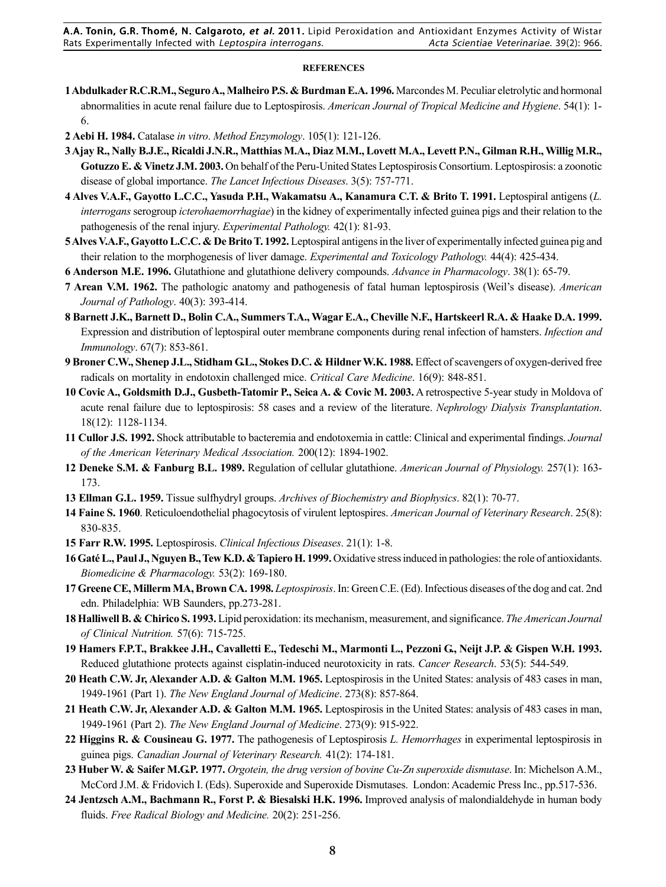A.A. Tonin, G.R. Thomé, N. Calgaroto, et al. 2011. Lipid Peroxidation and Antioxidant Enzymes Activity of Wistar Rats Experimentally Infected with Leptospira interrogans. Acta Scientiae Veterinariae. 39(2): 966.

#### **REFERENCES**

- **1 Abdulkader R.C.R.M., Seguro A., Malheiro P.S. & Burdman E.A. 1996.** Marcondes M. Peculiar eletrolytic and hormonal abnormalities in acute renal failure due to Leptospirosis. *American Journal of Tropical Medicine and Hygiene*. 54(1): 1- 6.
- **2 Aebi H. 1984.** Catalase *in vitro*. *Method Enzymology*. 105(1): 121-126.
- **3 Ajay R., Nally B.J.E., Ricaldi J.N.R., Matthias M.A., Diaz M.M., Lovett M.A., Levett P.N., Gilman R.H., Willig M.R., Gotuzzo E. & Vinetz J.M. 2003.** On behalf of the Peru-United States Leptospirosis Consortium. Leptospirosis: a zoonotic disease of global importance. *The Lancet Infectious Diseases*. 3(5): 757-771.
- **4 Alves V.A.F., Gayotto L.C.C., Yasuda P.H., Wakamatsu A., Kanamura C.T. & Brito T. 1991.** Leptospiral antigens (*L. interrogans* serogroup *icterohaemorrhagiae*) in the kidney of experimentally infected guinea pigs and their relation to the pathogenesis of the renal injury. *Experimental Pathology.* 42(1): 81-93.
- **5 Alves V.A.F., Gayotto L.C.C. & De Brito T. 1992.** Leptospiral antigens in the liver of experimentally infected guinea pig and their relation to the morphogenesis of liver damage. *Experimental and Toxicology Pathology.* 44(4): 425-434.
- **6 Anderson M.E. 1996.** Glutathione and glutathione delivery compounds. *Advance in Pharmacology*. 38(1): 65-79.
- **7 Arean V.M. 1962.** The pathologic anatomy and pathogenesis of fatal human leptospirosis (Weil's disease). *American Journal of Pathology*. 40(3): 393-414.
- **8 Barnett J.K., Barnett D., Bolin C.A., Summers T.A., Wagar E.A., Cheville N.F., Hartskeerl R.A. & Haake D.A. 1999.** Expression and distribution of leptospiral outer membrane components during renal infection of hamsters. *Infection and Immunology*. 67(7): 853-861.
- **9 Broner C.W., Shenep J.L., Stidham G.L., Stokes D.C. & Hildner W.K. 1988.** Effect of scavengers of oxygen-derived free radicals on mortality in endotoxin challenged mice. *Critical Care Medicine*. 16(9): 848-851.
- **10 Covic A., Goldsmith D.J., Gusbeth-Tatomir P., Seica A. & Covic M. 2003.** A retrospective 5-year study in Moldova of acute renal failure due to leptospirosis: 58 cases and a review of the literature. *Nephrology Dialysis Transplantation*. 18(12): 1128-1134.
- **11 Cullor J.S. 1992.** Shock attributable to bacteremia and endotoxemia in cattle: Clinical and experimental findings. *Journal of the American Veterinary Medical Association.* 200(12): 1894-1902.
- **12 Deneke S.M. & Fanburg B.L. 1989.** Regulation of cellular glutathione. *American Journal of Physiology.* 257(1): 163- 173.
- **13 Ellman G.L. 1959.** Tissue sulfhydryl groups. *Archives of Biochemistry and Biophysics*. 82(1): 70-77.
- **14 Faine S. 1960**. Reticuloendothelial phagocytosis of virulent leptospires. *American Journal of Veterinary Research*. 25(8): 830-835.
- **15 Farr R.W. 1995.** Leptospirosis. *Clinical Infectious Diseases*. 21(1): 1-8.
- **16 Gaté L., Paul J., Nguyen B., Tew K.D. & Tapiero H. 1999.** Oxidative stress induced in pathologies: the role of antioxidants. *Biomedicine & Pharmacology.* 53(2): 169-180.
- **17 Greene CE, Millerm MA, Brown CA. 1998.** *Leptospirosis*. In: Green C.E. (Ed). Infectious diseases of the dog and cat. 2nd edn. Philadelphia: WB Saunders, pp.273-281.
- **18 Halliwell B. & Chirico S. 1993.** Lipid peroxidation: its mechanism, measurement, and significance. *The American Journal of Clinical Nutrition.* 57(6): 715-725.
- **19 Hamers F.P.T., Brakkee J.H., Cavalletti E., Tedeschi M., Marmonti L., Pezzoni G., Neijt J.P. & Gispen W.H. 1993.** Reduced glutathione protects against cisplatin-induced neurotoxicity in rats. *Cancer Research*. 53(5): 544-549.
- **20 Heath C.W. Jr, Alexander A.D. & Galton M.M. 1965.** Leptospirosis in the United States: analysis of 483 cases in man, 1949-1961 (Part 1). *The New England Journal of Medicine*. 273(8): 857-864.
- **21 Heath C.W. Jr, Alexander A.D. & Galton M.M. 1965.** Leptospirosis in the United States: analysis of 483 cases in man, 1949-1961 (Part 2). *The New England Journal of Medicine*. 273(9): 915-922.
- **22 Higgins R. & Cousineau G. 1977.** The pathogenesis of Leptospirosis *L. Hemorrhages* in experimental leptospirosis in guinea pigs. *Canadian Journal of Veterinary Research.* 41(2): 174-181.
- **23 Huber W. & Saifer M.G.P. 1977.** *Orgotein, the drug version of bovine Cu-Zn superoxide dismutase*. In: Michelson A.M., McCord J.M. & Fridovich I. (Eds). Superoxide and Superoxide Dismutases. London: Academic Press Inc., pp.517-536.
- **24 Jentzsch A.M., Bachmann R., Forst P. & Biesalski H.K. 1996.** Improved analysis of malondialdehyde in human body fluids. *Free Radical Biology and Medicine.* 20(2): 251-256.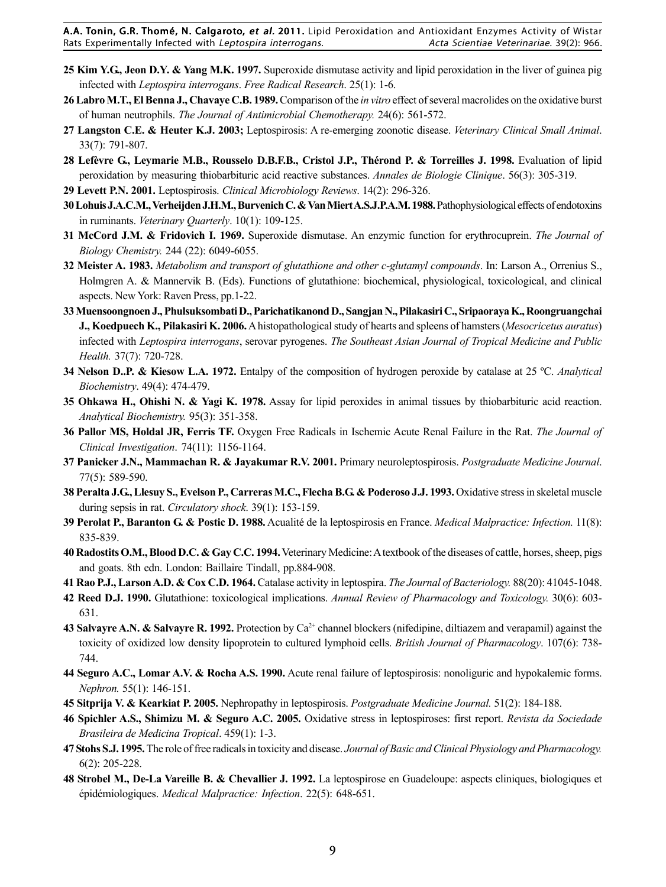A.A. Tonin, G.R. Thomé, N. Calgaroto, et al. 2011. Lipid Peroxidation and Antioxidant Enzymes Activity of Wistar Rats Experimentally Infected with Leptospira interrogans. Acta Scientiae Veterinariae. 39(2): 966.

- **25 Kim Y.G., Jeon D.Y. & Yang M.K. 1997.** Superoxide dismutase activity and lipid peroxidation in the liver of guinea pig infected with *Leptospira interrogans*. *Free Radical Research*. 25(1): 1-6.
- **26 Labro M.T., El Benna J., Chavaye C.B. 1989.** Comparison of the *in vitro* effect of several macrolides on the oxidative burst of human neutrophils. *The Journal of Antimicrobial Chemotherapy.* 24(6): 561-572.
- **27 Langston C.E. & Heuter K.J. 2003;** Leptospirosis: A re-emerging zoonotic disease. *Veterinary Clinical Small Animal*. 33(7): 791-807.
- **28 Lefèvre G., Leymarie M.B., Rousselo D.B.F.B., Cristol J.P., Thérond P. & Torreilles J. 1998.** Evaluation of lipid peroxidation by measuring thiobarbituric acid reactive substances. *Annales de Biologie Clinique*. 56(3): 305-319.
- **29 Levett P.N. 2001.** Leptospirosis. *Clinical Microbiology Reviews*. 14(2): 296-326.
- **30 Lohuis J.A.C.M., Verheijden J.H.M., Burvenich C. & Van Miert A.S.J.P.A.M. 1988.** Pathophysiological effects of endotoxins in ruminants. *Veterinary Quarterly*. 10(1): 109-125.
- **31 McCord J.M. & Fridovich I. 1969.** Superoxide dismutase. An enzymic function for erythrocuprein. *The Journal of Biology Chemistry.* 244 (22): 6049-6055.
- **32 Meister A. 1983.** *Metabolism and transport of glutathione and other c-glutamyl compounds*. In: Larson A., Orrenius S., Holmgren A. & Mannervik B. (Eds). Functions of glutathione: biochemical, physiological, toxicological, and clinical aspects. New York: Raven Press, pp.1-22.
- **33 Muensoongnoen J., Phulsuksombati D., Parichatikanond D., Sangjan N., Pilakasiri C., Sripaoraya K., Roongruangchai J., Koedpuech K., Pilakasiri K. 2006.** A histopathological study of hearts and spleens of hamsters (*Mesocricetus auratus*) infected with *Leptospira interrogans*, serovar pyrogenes. *The Southeast Asian Journal of Tropical Medicine and Public Health.* 37(7): 720-728.
- **34 Nelson D..P. & Kiesow L.A. 1972.** Entalpy of the composition of hydrogen peroxide by catalase at 25 ºC. *Analytical Biochemistry*. 49(4): 474-479.
- **35 Ohkawa H., Ohishi N. & Yagi K. 1978.** Assay for lipid peroxides in animal tissues by thiobarbituric acid reaction. *Analytical Biochemistry.* 95(3): 351-358.
- **36 Pallor MS, Holdal JR, Ferris TF.** Oxygen Free Radicals in Ischemic Acute Renal Failure in the Rat. *The Journal of Clinical Investigation*. 74(11): 1156-1164.
- N **37 Panicker J.N., Mammachan R. & Jayakumar R.V. 2001.** Primary neuroleptospirosis. *Postgraduate Medicine Journal*. 77(5): 589-590.
- **38 Peralta J.G., Llesuy S., Evelson P., Carreras M.C., Flecha B.G. & Poderoso J.J. 1993.** Oxidative stress in skeletal muscle during sepsis in rat. *Circulatory shock*. 39(1): 153-159.
- **39 Perolat P., Baranton G. & Postic D. 1988.** Acualité de la leptospirosis en France. *Medical Malpractice: Infection.* 11(8): 835-839.
- **40 Radostits O.M., Blood D.C. & Gay C.C. 1994.** Veterinary Medicine: A textbook of the diseases of cattle, horses, sheep, pigs and goats. 8th edn. London: Baillaire Tindall, pp.884-908.
- **41 Rao P.J., Larson A.D. & Cox C.D. 1964.** Catalase activity in leptospira. *The Journal of Bacteriology.* 88(20): 41045-1048.
- **42 Reed D.J. 1990.** Glutathione: toxicological implications. *Annual Review of Pharmacology and Toxicology.* 30(6): 603- 631.
- 43 Salvayre A.N. & Salvayre R. 1992. Protection by Ca<sup>2+</sup> channel blockers (nifedipine, diltiazem and verapamil) against the toxicity of oxidized low density lipoprotein to cultured lymphoid cells. *British Journal of Pharmacology*. 107(6): 738- 744.
- **44 Seguro A.C., Lomar A.V. & Rocha A.S. 1990.** Acute renal failure of leptospirosis: nonoliguric and hypokalemic forms. *Nephron.* 55(1): 146-151.
- **45 Sitprija V. & Kearkiat P. 2005.** Nephropathy in leptospirosis. *Postgraduate Medicine Journal.* 51(2): 184-188.
- **46 Spichler A.S., Shimizu M. & Seguro A.C. 2005.** Oxidative stress in leptospiroses: first report. *Revista da Sociedade Brasileira de Medicina Tropical*. 459(1): 1-3.
- **47 Stohs S.J. 1995.** The role of free radicals in toxicity and disease. *Journal of Basic and Clinical Physiology and Pharmacology.* 6(2): 205-228.
- **48 Strobel M., De-La Vareille B. & Chevallier J. 1992.** La leptospirose en Guadeloupe: aspects cliniques, biologiques et épidémiologiques. *Medical Malpractice: Infection*. 22(5): 648-651.